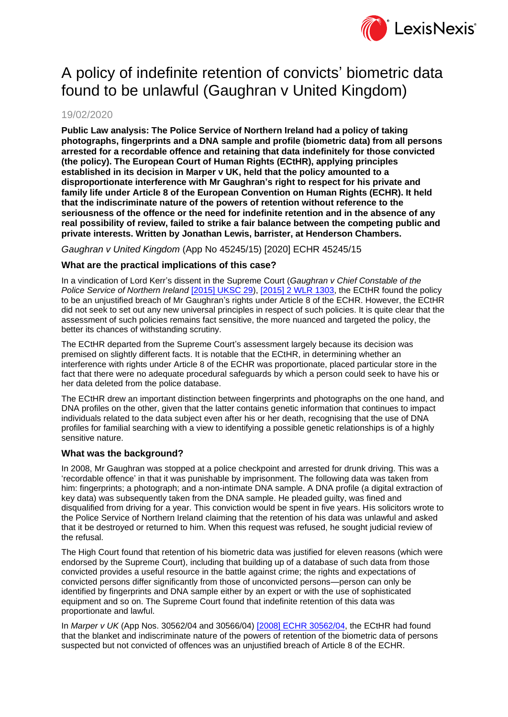

# A policy of indefinite retention of convicts' biometric data found to be unlawful (Gaughran v United Kingdom)

# 19/02/2020

**Public Law analysis: The Police Service of Northern Ireland had a policy of taking photographs, fingerprints and a DNA sample and profile (biometric data) from all persons arrested for a recordable offence and retaining that data indefinitely for those convicted (the policy). The European Court of Human Rights (ECtHR), applying principles established in its decision in Marper v UK, held that the policy amounted to a disproportionate interference with Mr Gaughran's right to respect for his private and family life under Article 8 of the European Convention on Human Rights (ECHR). It held that the indiscriminate nature of the powers of retention without reference to the seriousness of the offence or the need for indefinite retention and in the absence of any real possibility of review, failed to strike a fair balance between the competing public and private interests. Written by Jonathan Lewis, barrister, at Henderson Chambers.**

*Gaughran v United Kingdom* (App No 45245/15) [2020] ECHR 45245/15

## **What are the practical implications of this case?**

In a vindication of Lord Kerr's dissent in the Supreme Court (*Gaughran v Chief Constable of the Police Service of Northern Ireland* [\[2015\] UKSC 29\)](https://www.lexisnexis.com/uk/lexispsl/corporatecrime/citationlinkHandler.faces?bct=A&service=citation&risb=&UKSC&$sel1!%252015%25$year!%252015%25$page!%2529%25), [\[2015\] 2 WLR 1303,](https://www.lexisnexis.com/uk/lexispsl/corporatecrime/citationlinkHandler.faces?bct=A&service=citation&risb=&WLR&$sel1!%252015%25$year!%252015%25$sel2!%252%25$vol!%252%25$page!%251303%25) the ECtHR found the policy to be an unjustified breach of Mr Gaughran's rights under Article 8 of the ECHR. However, the ECtHR did not seek to set out any new universal principles in respect of such policies. It is quite clear that the assessment of such policies remains fact sensitive, the more nuanced and targeted the policy, the better its chances of withstanding scrutiny.

The ECtHR departed from the Supreme Court's assessment largely because its decision was premised on slightly different facts. It is notable that the ECtHR, in determining whether an interference with rights under Article 8 of the ECHR was proportionate, placed particular store in the fact that there were no adequate procedural safeguards by which a person could seek to have his or her data deleted from the police database.

The ECtHR drew an important distinction between fingerprints and photographs on the one hand, and DNA profiles on the other, given that the latter contains genetic information that continues to impact individuals related to the data subject even after his or her death, recognising that the use of DNA profiles for familial searching with a view to identifying a possible genetic relationships is of a highly sensitive nature.

### **What was the background?**

In 2008, Mr Gaughran was stopped at a police checkpoint and arrested for drunk driving. This was a 'recordable offence' in that it was punishable by imprisonment. The following data was taken from him: fingerprints; a photograph; and a non-intimate DNA sample. A DNA profile (a digital extraction of key data) was subsequently taken from the DNA sample. He pleaded guilty, was fined and disqualified from driving for a year. This conviction would be spent in five years. His solicitors wrote to the Police Service of Northern Ireland claiming that the retention of his data was unlawful and asked that it be destroyed or returned to him. When this request was refused, he sought judicial review of the refusal.

The High Court found that retention of his biometric data was justified for eleven reasons (which were endorsed by the Supreme Court), including that building up of a database of such data from those convicted provides a useful resource in the battle against crime; the rights and expectations of convicted persons differ significantly from those of unconvicted persons—person can only be identified by fingerprints and DNA sample either by an expert or with the use of sophisticated equipment and so on. The Supreme Court found that indefinite retention of this data was proportionate and lawful.

In *Marper v UK* (App Nos. 30562/04 and 30566/04) [\[2008\] ECHR 30562/04,](http://www.lexisnexis.com/uk/lexispsl/arbitration/docfromresult/D-WA-A-YY-Y-MsSAYWD-UUW-UZEYAAUUW-U-U-U-U-U-U-ACYVZEEDBY-ACYWWYUCBY-ZBDUBYUBC-U-U/6/linkHandler.faces?psldocinfo=_S_and_Marper_v_The_United_Kingdom__App__Nos__30562_04_and_30566_04_____2008__All_ER__D__56__Dec_&linkInfo=F#GB#ECHR#sel1%2008%vol%04%year%2008%page%30562%sel2%04%&A=0.4820433977458737&bct=A&risb=&service=citation&langcountry=GB) the ECtHR had found that the blanket and indiscriminate nature of the powers of retention of the biometric data of persons suspected but not convicted of offences was an unjustified breach of Article 8 of the ECHR.